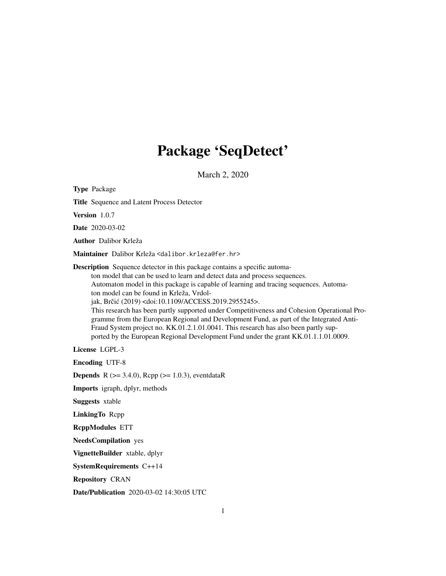# Package 'SeqDetect'

March 2, 2020

<span id="page-0-0"></span>Type Package Title Sequence and Latent Process Detector Version 1.0.7 Date 2020-03-02 Author Dalibor Krleža Maintainer Dalibor Krleža <dalibor.krleza@fer.hr> Description Sequence detector in this package contains a specific automaton model that can be used to learn and detect data and process sequences. Automaton model in this package is capable of learning and tracing sequences. Automaton model can be found in Krleža, Vrdoljak, Brčić (2019) <doi:10.1109/ACCESS.2019.2955245>. This research has been partly supported under Competitiveness and Cohesion Operational Programme from the European Regional and Development Fund, as part of the Integrated Anti-Fraud System project no. KK.01.2.1.01.0041. This research has also been partly supported by the European Regional Development Fund under the grant KK.01.1.1.01.0009. License LGPL-3 Encoding UTF-8 **Depends** R ( $>= 3.4.0$ ), Rcpp ( $>= 1.0.3$ ), eventdataR Imports igraph, dplyr, methods Suggests xtable LinkingTo Rcpp RcppModules ETT NeedsCompilation yes VignetteBuilder xtable, dplyr SystemRequirements C++14

Repository CRAN

Date/Publication 2020-03-02 14:30:05 UTC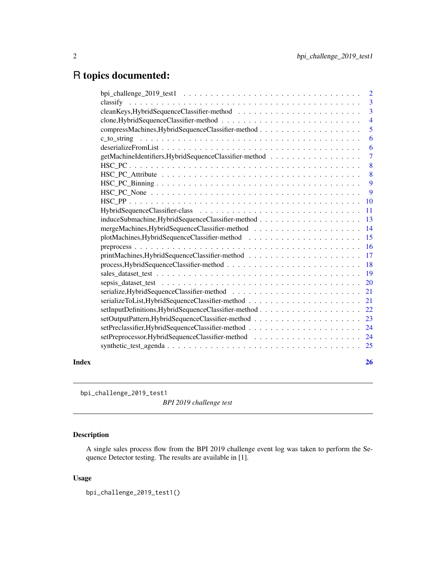# <span id="page-1-0"></span>R topics documented:

| Index |                                                         | 26                      |
|-------|---------------------------------------------------------|-------------------------|
|       |                                                         |                         |
|       |                                                         |                         |
|       |                                                         |                         |
|       |                                                         |                         |
|       | setInputDefinitions, HybridSequenceClassifier-method 22 |                         |
|       |                                                         |                         |
|       |                                                         |                         |
|       |                                                         |                         |
|       |                                                         |                         |
|       |                                                         |                         |
|       |                                                         |                         |
|       |                                                         |                         |
|       |                                                         |                         |
|       |                                                         | 14                      |
|       |                                                         | -13                     |
|       |                                                         |                         |
|       |                                                         |                         |
|       |                                                         | 9                       |
|       |                                                         | $\overline{9}$          |
|       |                                                         | $\overline{\mathbf{8}}$ |
|       |                                                         | 8                       |
|       |                                                         | $\overline{7}$          |
|       |                                                         | 6                       |
|       |                                                         | 6                       |
|       |                                                         | 5                       |
|       |                                                         | $\overline{4}$          |
|       |                                                         | $\overline{3}$          |
|       |                                                         | $\overline{3}$          |
|       |                                                         | $\overline{2}$          |

bpi\_challenge\_2019\_test1

*BPI 2019 challenge test*

# Description

A single sales process flow from the BPI 2019 challenge event log was taken to perform the Sequence Detector testing. The results are available in [1].

# Usage

bpi\_challenge\_2019\_test1()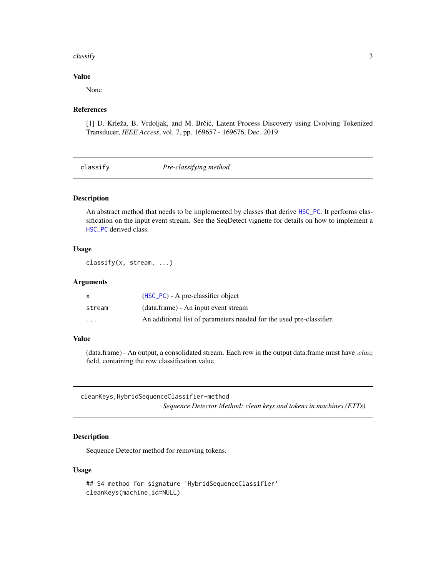#### <span id="page-2-0"></span> $\alpha$  classify  $\beta$

#### Value

None

#### References

[1] D. Krleža, B. Vrdoljak, and M. Brčić, Latent Process Discovery using Evolving Tokenized Transducer, *IEEE Access*, vol. 7, pp. 169657 - 169676, Dec. 2019

classify *Pre-classifying method*

#### Description

An abstract method that needs to be implemented by classes that derive [HSC\\_PC](#page-7-1). It performs classification on the input event stream. See the SeqDetect vignette for details on how to implement a [HSC\\_PC](#page-7-1) derived class.

#### Usage

classify(x, stream, ...)

#### Arguments

|          | $(HSC_PC)$ - A pre-classifier object                                 |
|----------|----------------------------------------------------------------------|
| stream   | (data.frame) - An input event stream                                 |
| $\cdots$ | An additional list of parameters needed for the used pre-classifier. |

#### Value

(data.frame) - An output, a consolidated stream. Each row in the output data.frame must have *.clazz* field, containing the row classification value.

cleanKeys,HybridSequenceClassifier-method *Sequence Detector Method: clean keys and tokens in machines (ETTs)*

# Description

Sequence Detector method for removing tokens.

#### Usage

```
## S4 method for signature 'HybridSequenceClassifier'
cleanKeys(machine_id=NULL)
```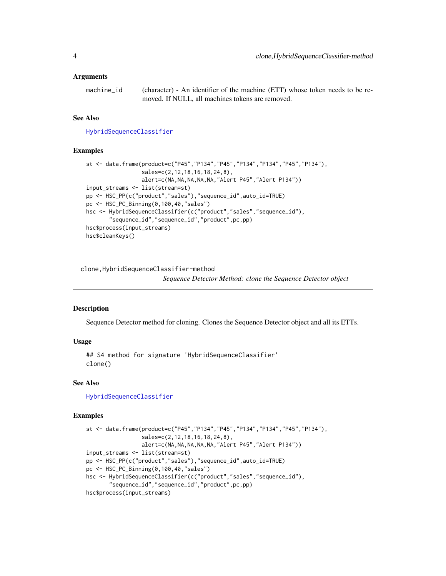#### <span id="page-3-0"></span>Arguments

machine\_id (character) - An identifier of the machine (ETT) whose token needs to be removed. If NULL, all machines tokens are removed.

#### See Also

[HybridSequenceClassifier](#page-10-1)

#### Examples

```
st <- data.frame(product=c("P45","P134","P45","P134","P134","P45","P134"),
                 sales=c(2,12,18,16,18,24,8),
                 alert=c(NA,NA,NA,NA,NA,"Alert P45","Alert P134"))
input_streams <- list(stream=st)
pp <- HSC_PP(c("product","sales"),"sequence_id",auto_id=TRUE)
pc <- HSC_PC_Binning(0,100,40,"sales")
hsc <- HybridSequenceClassifier(c("product","sales","sequence_id"),
       "sequence_id","sequence_id","product",pc,pp)
hsc$process(input_streams)
hsc$cleanKeys()
```
clone,HybridSequenceClassifier-method

*Sequence Detector Method: clone the Sequence Detector object*

#### Description

Sequence Detector method for cloning. Clones the Sequence Detector object and all its ETTs.

#### Usage

```
## S4 method for signature 'HybridSequenceClassifier'
clone()
```
#### See Also

[HybridSequenceClassifier](#page-10-1)

```
st <- data.frame(product=c("P45","P134","P45","P134","P134","P45","P134"),
                 sales=c(2,12,18,16,18,24,8),
                 alert=c(NA,NA,NA,NA,NA,"Alert P45","Alert P134"))
input_streams <- list(stream=st)
pp <- HSC_PP(c("product","sales"),"sequence_id",auto_id=TRUE)
pc <- HSC_PC_Binning(0,100,40,"sales")
hsc <- HybridSequenceClassifier(c("product","sales","sequence_id"),
       "sequence_id","sequence_id","product",pc,pp)
hsc$process(input_streams)
```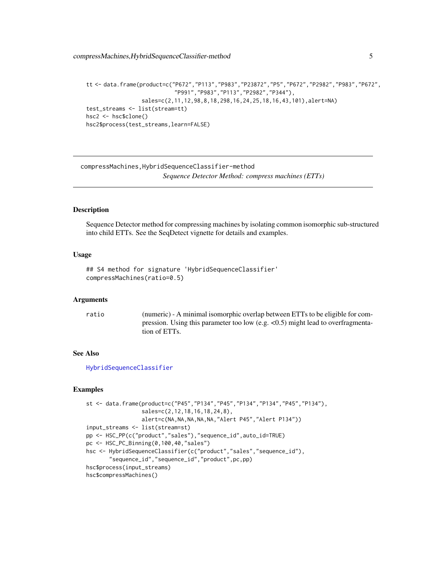# <span id="page-4-0"></span>compressMachines,HybridSequenceClassifier-method 5

```
tt <- data.frame(product=c("P672","P113","P983","P23872","P5","P672","P2982","P983","P672",
                           "P991","P983","P113","P2982","P344"),
                 sales=c(2,11,12,98,8,18,298,16,24,25,18,16,43,101),alert=NA)
test_streams <- list(stream=tt)
hsc2 <- hsc$clone()
hsc2$process(test_streams,learn=FALSE)
```
compressMachines,HybridSequenceClassifier-method *Sequence Detector Method: compress machines (ETTs)*

#### Description

Sequence Detector method for compressing machines by isolating common isomorphic sub-structured into child ETTs. See the SeqDetect vignette for details and examples.

#### Usage

```
## S4 method for signature 'HybridSequenceClassifier'
compressMachines(ratio=0.5)
```
#### Arguments

ratio (numeric) - A minimal isomorphic overlap between ETTs to be eligible for compression. Using this parameter too low (e.g. <0.5) might lead to overfragmentation of ETTs.

#### See Also

[HybridSequenceClassifier](#page-10-1)

```
st <- data.frame(product=c("P45","P134","P45","P134","P134","P45","P134"),
                 sales=c(2,12,18,16,18,24,8),
                 alert=c(NA,NA,NA,NA,NA,"Alert P45","Alert P134"))
input_streams <- list(stream=st)
pp <- HSC_PP(c("product","sales"),"sequence_id",auto_id=TRUE)
pc <- HSC_PC_Binning(0,100,40,"sales")
hsc <- HybridSequenceClassifier(c("product","sales","sequence_id"),
       "sequence_id","sequence_id","product",pc,pp)
hsc$process(input_streams)
hsc$compressMachines()
```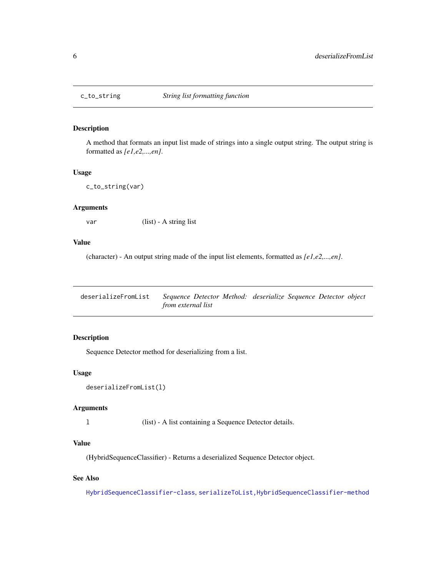<span id="page-5-0"></span>

### Description

A method that formats an input list made of strings into a single output string. The output string is formatted as *[e1,e2,...,en]*.

### Usage

c\_to\_string(var)

### Arguments

var (list) - A string list

# Value

(character) - An output string made of the input list elements, formatted as *[e1,e2,...,en]*.

<span id="page-5-1"></span>

| deserializeFromList | Sequence Detector Method: deserialize Sequence Detector object |  |  |  |
|---------------------|----------------------------------------------------------------|--|--|--|
|                     | <i>from external list</i>                                      |  |  |  |

# Description

Sequence Detector method for deserializing from a list.

#### Usage

```
deserializeFromList(l)
```
#### Arguments

l (list) - A list containing a Sequence Detector details.

## Value

(HybridSequenceClassifier) - Returns a deserialized Sequence Detector object.

#### See Also

[HybridSequenceClassifier-class](#page-10-2), [serializeToList,HybridSequenceClassifier-method](#page-0-0)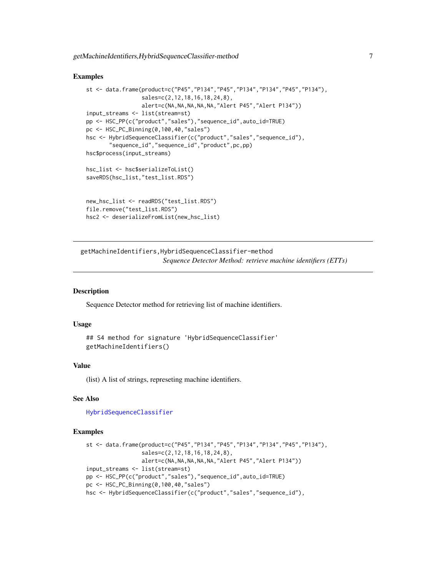#### <span id="page-6-0"></span>Examples

```
st <- data.frame(product=c("P45","P134","P45","P134","P134","P45","P134"),
                 sales=c(2,12,18,16,18,24,8),
                 alert=c(NA,NA,NA,NA,NA,"Alert P45","Alert P134"))
input_streams <- list(stream=st)
pp <- HSC_PP(c("product","sales"),"sequence_id",auto_id=TRUE)
pc <- HSC_PC_Binning(0,100,40,"sales")
hsc <- HybridSequenceClassifier(c("product","sales","sequence_id"),
       "sequence_id","sequence_id","product",pc,pp)
hsc$process(input_streams)
hsc_list <- hsc$serializeToList()
saveRDS(hsc_list,"test_list.RDS")
new_hsc_list <- readRDS("test_list.RDS")
file.remove("test_list.RDS")
hsc2 <- deserializeFromList(new_hsc_list)
```
getMachineIdentifiers,HybridSequenceClassifier-method *Sequence Detector Method: retrieve machine identifiers (ETTs)*

#### Description

Sequence Detector method for retrieving list of machine identifiers.

#### Usage

```
## S4 method for signature 'HybridSequenceClassifier'
getMachineIdentifiers()
```
#### Value

(list) A list of strings, represeting machine identifiers.

#### See Also

[HybridSequenceClassifier](#page-10-1)

```
st <- data.frame(product=c("P45","P134","P45","P134","P134","P45","P134"),
                 sales=c(2,12,18,16,18,24,8),
                 alert=c(NA,NA,NA,NA,NA,"Alert P45","Alert P134"))
input_streams <- list(stream=st)
pp <- HSC_PP(c("product","sales"),"sequence_id",auto_id=TRUE)
pc <- HSC_PC_Binning(0,100,40,"sales")
hsc <- HybridSequenceClassifier(c("product","sales","sequence_id"),
```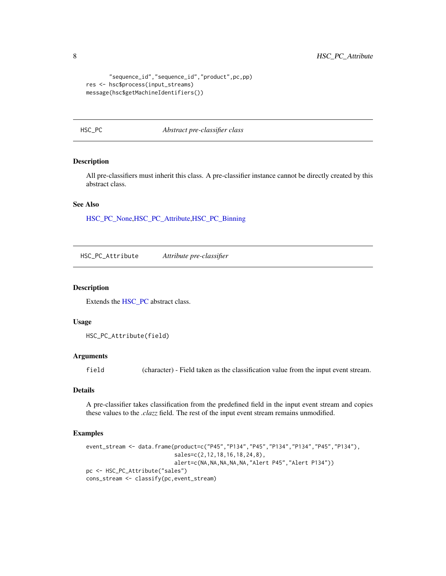```
"sequence_id","sequence_id","product",pc,pp)
res <- hsc$process(input_streams)
message(hsc$getMachineIdentifiers())
```
#### <span id="page-7-1"></span>HSC\_PC *Abstract pre-classifier class*

#### Description

All pre-classifiers must inherit this class. A pre-classifier instance cannot be directly created by this abstract class.

# See Also

[HSC\\_PC\\_None](#page-8-1)[,HSC\\_PC\\_Attribute,](#page-7-2)[HSC\\_PC\\_Binning](#page-8-2)

<span id="page-7-2"></span>HSC\_PC\_Attribute *Attribute pre-classifier*

# **Description**

Extends the [HSC\\_PC](#page-7-1) abstract class.

#### Usage

HSC\_PC\_Attribute(field)

#### Arguments

field (character) - Field taken as the classification value from the input event stream.

#### Details

A pre-classifier takes classification from the predefined field in the input event stream and copies these values to the *.clazz* field. The rest of the input event stream remains unmodified.

```
event_stream <- data.frame(product=c("P45","P134","P45","P134","P134","P45","P134"),
                          sales=c(2,12,18,16,18,24,8),
                          alert=c(NA,NA,NA,NA,NA,"Alert P45","Alert P134"))
pc <- HSC_PC_Attribute("sales")
cons_stream <- classify(pc,event_stream)
```
<span id="page-7-0"></span>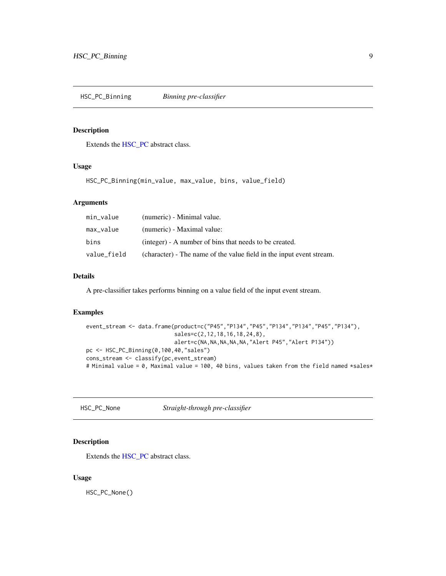<span id="page-8-2"></span><span id="page-8-0"></span>HSC\_PC\_Binning *Binning pre-classifier*

#### Description

Extends the [HSC\\_PC](#page-7-1) abstract class.

#### Usage

HSC\_PC\_Binning(min\_value, max\_value, bins, value\_field)

#### Arguments

| min_value   | (numeric) - Minimal value.                                           |
|-------------|----------------------------------------------------------------------|
| max_value   | (numeric) - Maximal value:                                           |
| bins        | (integer) - A number of bins that needs to be created.               |
| value_field | (character) - The name of the value field in the input event stream. |

## Details

A pre-classifier takes performs binning on a value field of the input event stream.

#### Examples

```
event_stream <- data.frame(product=c("P45","P134","P45","P134","P134","P45","P134"),
                           sales=c(2,12,18,16,18,24,8),
                           alert=c(NA,NA,NA,NA,NA,"Alert P45","Alert P134"))
pc <- HSC_PC_Binning(0,100,40,"sales")
cons_stream <- classify(pc,event_stream)
# Minimal value = 0, Maximal value = 100, 40 bins, values taken from the field named *sales*
```
<span id="page-8-1"></span>HSC\_PC\_None *Straight-through pre-classifier*

#### Description

Extends the [HSC\\_PC](#page-7-1) abstract class.

#### Usage

HSC\_PC\_None()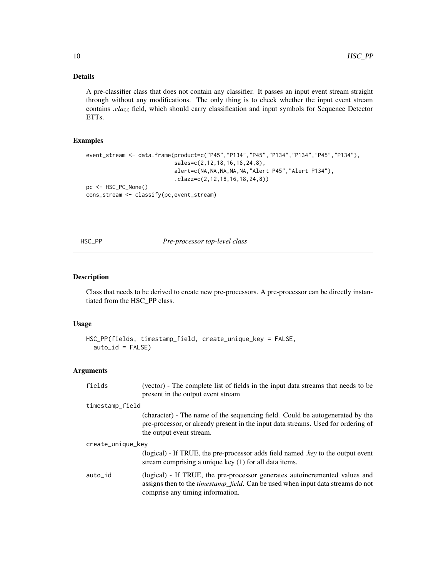# Details

A pre-classifier class that does not contain any classifier. It passes an input event stream straight through without any modifications. The only thing is to check whether the input event stream contains *.clazz* field, which should carry classification and input symbols for Sequence Detector ETTs.

### Examples

```
event_stream <- data.frame(product=c("P45","P134","P45","P134","P134","P45","P134"),
                           sales=c(2,12,18,16,18,24,8),
                           alert=c(NA,NA,NA,NA,NA,"Alert P45","Alert P134"),
                           .clazz=c(2,12,18,16,18,24,8))
pc <- HSC_PC_None()
cons_stream <- classify(pc,event_stream)
```
<span id="page-9-1"></span>

HSC\_PP *Pre-processor top-level class*

#### Description

Class that needs to be derived to create new pre-processors. A pre-processor can be directly instantiated from the HSC\_PP class.

### Usage

```
HSC_PP(fields, timestamp_field, create_unique_key = FALSE,
  auto_id = FALSE)
```
#### Arguments

| fields            | (vector) - The complete list of fields in the input data streams that needs to be<br>present in the output event stream                                                                                    |
|-------------------|------------------------------------------------------------------------------------------------------------------------------------------------------------------------------------------------------------|
| timestamp_field   |                                                                                                                                                                                                            |
|                   | (character) - The name of the sequencing field. Could be autogenerated by the<br>pre-processor, or already present in the input data streams. Used for ordering of<br>the output event stream.             |
| create_unique_key |                                                                                                                                                                                                            |
|                   | (logical) - If TRUE, the pre-processor adds field named .key to the output event<br>stream comprising a unique key (1) for all data items.                                                                 |
| auto_id           | (logical) - If TRUE, the pre-processor generates autoincremented values and<br>assigns then to the <i>timestamp_field</i> . Can be used when input data streams do not<br>comprise any timing information. |

<span id="page-9-0"></span>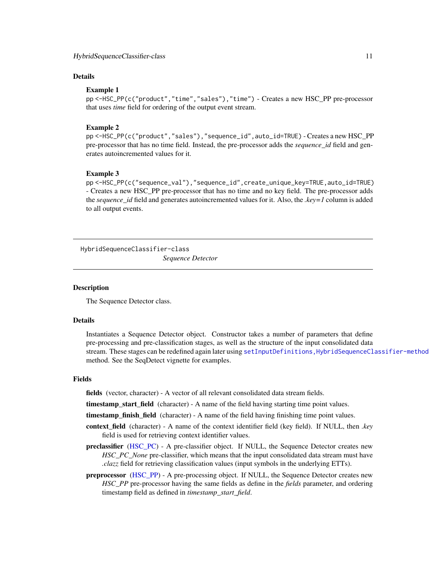#### <span id="page-10-0"></span>Details

#### Example 1

pp <-HSC\_PP(c("product","time","sales"),"time") - Creates a new HSC\_PP pre-processor that uses *time* field for ordering of the output event stream.

#### Example 2

pp <-HSC\_PP(c("product","sales"),"sequence\_id",auto\_id=TRUE) - Creates a new HSC\_PP pre-processor that has no time field. Instead, the pre-processor adds the *sequence\_id* field and generates autoincremented values for it.

#### Example 3

pp <-HSC\_PP(c("sequence\_val"),"sequence\_id",create\_unique\_key=TRUE,auto\_id=TRUE) - Creates a new HSC\_PP pre-processor that has no time and no key field. The pre-processor adds the *sequence\_id* field and generates autoincremented values for it. Also, the *.key=1* column is added to all output events.

<span id="page-10-2"></span>HybridSequenceClassifier-class *Sequence Detector*

#### <span id="page-10-1"></span>**Description**

The Sequence Detector class.

#### Details

Instantiates a Sequence Detector object. Constructor takes a number of parameters that define pre-processing and pre-classification stages, as well as the structure of the input consolidated data stream. These stages can be redefined again later using [setInputDefinitions,HybridSequenceClassifier-method](#page-0-0) method. See the SeqDetect vignette for examples.

#### Fields

fields (vector, character) - A vector of all relevant consolidated data stream fields.

timestamp\_start\_field (character) - A name of the field having starting time point values.

- timestamp\_finish\_field (character) A name of the field having finishing time point values.
- context\_field (character) A name of the context identifier field (key field). If NULL, then *.key* field is used for retrieving context identifier values.
- preclassifier [\(HSC\\_PC\)](#page-7-1) A pre-classifier object. If NULL, the Sequence Detector creates new *HSC\_PC\_None* pre-classifier, which means that the input consolidated data stream must have *.clazz* field for retrieving classification values (input symbols in the underlying ETTs).
- preprocessor [\(HSC\\_PP\)](#page-9-1) A pre-processing object. If NULL, the Sequence Detector creates new *HSC\_PP* pre-processor having the same fields as define in the *fields* parameter, and ordering timestamp field as defined in *timestamp\_start\_field*.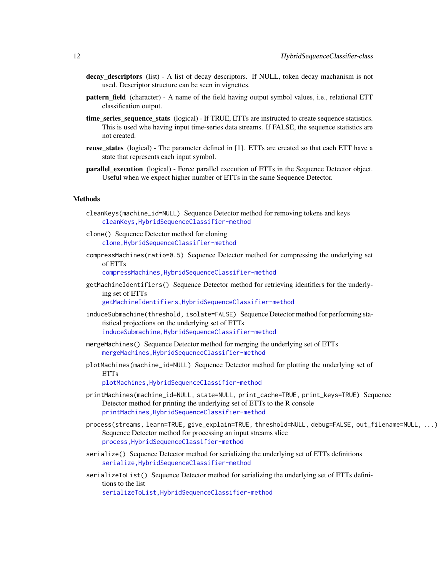- decay\_descriptors (list) A list of decay descriptors. If NULL, token decay machanism is not used. Descriptor structure can be seen in vignettes.
- **pattern field** (character) A name of the field having output symbol values, i.e., relational ETT classification output.
- time\_series\_sequence\_stats (logical) If TRUE, ETTs are instructed to create sequence statistics. This is used whe having input time-series data streams. If FALSE, the sequence statistics are not created.
- reuse\_states (logical) The parameter defined in [1]. ETTs are created so that each ETT have a state that represents each input symbol.
- **parallel execution** (logical) Force parallel execution of ETTs in the Sequence Detector object. Useful when we expect higher number of ETTs in the same Sequence Detector.

#### Methods

- cleanKeys(machine\_id=NULL) Sequence Detector method for removing tokens and keys [cleanKeys,HybridSequenceClassifier-method](#page-0-0)
- clone() Sequence Detector method for cloning [clone,HybridSequenceClassifier-method](#page-0-0)
- compressMachines(ratio=0.5) Sequence Detector method for compressing the underlying set of ETTs

[compressMachines,HybridSequenceClassifier-method](#page-0-0)

getMachineIdentifiers() Sequence Detector method for retrieving identifiers for the underlying set of ETTs

[getMachineIdentifiers,HybridSequenceClassifier-method](#page-0-0)

- induceSubmachine(threshold, isolate=FALSE) Sequence Detector method for performing statistical projections on the underlying set of ETTs [induceSubmachine,HybridSequenceClassifier-method](#page-0-0)
- mergeMachines() Sequence Detector method for merging the underlying set of ETTs [mergeMachines,HybridSequenceClassifier-method](#page-0-0)
- plotMachines(machine\_id=NULL) Sequence Detector method for plotting the underlying set of ETTs

[plotMachines,HybridSequenceClassifier-method](#page-0-0)

- printMachines(machine\_id=NULL, state=NULL, print\_cache=TRUE, print\_keys=TRUE) Sequence Detector method for printing the underlying set of ETTs to the R console [printMachines,HybridSequenceClassifier-method](#page-0-0)
- process(streams, learn=TRUE, give\_explain=TRUE, threshold=NULL, debug=FALSE, out\_filename=NULL, ...) Sequence Detector method for processing an input streams slice [process,HybridSequenceClassifier-method](#page-0-0)
- serialize() Sequence Detector method for serializing the underlying set of ETTs definitions [serialize,HybridSequenceClassifier-method](#page-0-0)
- serializeToList() Sequence Detector method for serializing the underlying set of ETTs definitions to the list [serializeToList,HybridSequenceClassifier-method](#page-0-0)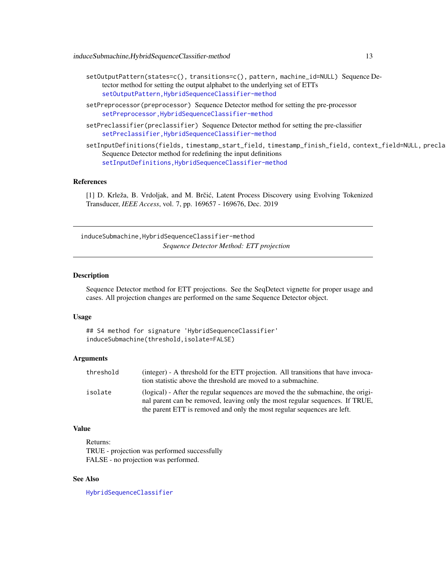<span id="page-12-0"></span>induceSubmachine,HybridSequenceClassifier-method 13

- setOutputPattern(states=c(), transitions=c(), pattern, machine\_id=NULL) Sequence Detector method for setting the output alphabet to the underlying set of ETTs [setOutputPattern,HybridSequenceClassifier-method](#page-0-0)
- setPreprocessor(preprocessor) Sequence Detector method for setting the pre-processor [setPreprocessor,HybridSequenceClassifier-method](#page-0-0)
- setPreclassifier(preclassifier) Sequence Detector method for setting the pre-classifier [setPreclassifier,HybridSequenceClassifier-method](#page-0-0)
- setInputDefinitions(fields, timestamp\_start\_field, timestamp\_finish\_field, context\_field=NULL, precla Sequence Detector method for redefining the input definitions [setInputDefinitions,HybridSequenceClassifier-method](#page-0-0)

#### References

[1] D. Krleža, B. Vrdoljak, and M. Brčić, Latent Process Discovery using Evolving Tokenized Transducer, *IEEE Access*, vol. 7, pp. 169657 - 169676, Dec. 2019

induceSubmachine,HybridSequenceClassifier-method *Sequence Detector Method: ETT projection*

#### Description

Sequence Detector method for ETT projections. See the SeqDetect vignette for proper usage and cases. All projection changes are performed on the same Sequence Detector object.

#### Usage

```
## S4 method for signature 'HybridSequenceClassifier'
induceSubmachine(threshold,isolate=FALSE)
```
#### Arguments

| threshold | (integer) - A threshold for the ETT projection. All transitions that have invoca-<br>tion statistic above the threshold are moved to a submachine.                                                                                          |
|-----------|---------------------------------------------------------------------------------------------------------------------------------------------------------------------------------------------------------------------------------------------|
| isolate   | (logical) - After the regular sequences are moved the the submachine, the origi-<br>nal parent can be removed, leaving only the most regular sequences. If TRUE,<br>the parent ETT is removed and only the most regular sequences are left. |

#### Value

Returns: TRUE - projection was performed successfully FALSE - no projection was performed.

#### See Also

[HybridSequenceClassifier](#page-10-1)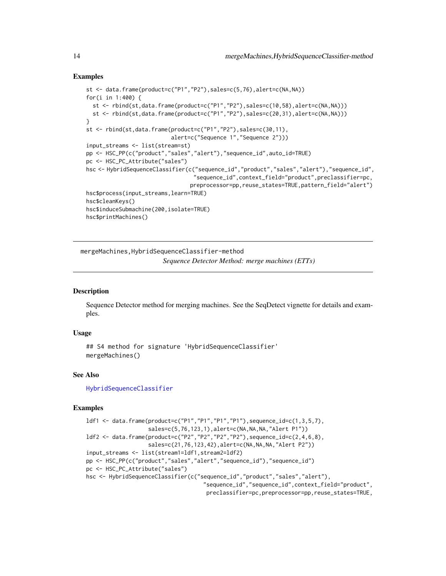#### <span id="page-13-0"></span>Examples

```
st <- data.frame(product=c("P1","P2"),sales=c(5,76),alert=c(NA,NA))
for(i in 1:400) {
 st <- rbind(st,data.frame(product=c("P1","P2"),sales=c(10,58),alert=c(NA,NA)))
 st <- rbind(st,data.frame(product=c("P1","P2"),sales=c(20,31),alert=c(NA,NA)))
}
st <- rbind(st,data.frame(product=c("P1","P2"),sales=c(30,11),
                          alert=c("Sequence 1","Sequence 2")))
input_streams <- list(stream=st)
pp <- HSC_PP(c("product","sales","alert"),"sequence_id",auto_id=TRUE)
pc <- HSC_PC_Attribute("sales")
hsc <- HybridSequenceClassifier(c("sequence_id","product","sales","alert"),"sequence_id",
                                 "sequence_id",context_field="product",preclassifier=pc,
                                preprocessor=pp,reuse_states=TRUE,pattern_field="alert")
hsc$process(input_streams,learn=TRUE)
hsc$cleanKeys()
hsc$induceSubmachine(200,isolate=TRUE)
hsc$printMachines()
```
mergeMachines,HybridSequenceClassifier-method *Sequence Detector Method: merge machines (ETTs)*

#### Description

Sequence Detector method for merging machines. See the SeqDetect vignette for details and examples.

#### Usage

```
## S4 method for signature 'HybridSequenceClassifier'
mergeMachines()
```
#### See Also

[HybridSequenceClassifier](#page-10-1)

```
ldf1 <- data.frame(product=c("P1","P1","P1","P1"),sequence_id=c(1,3,5,7),
                   sales=c(5,76,123,1),alert=c(NA,NA,NA,"Alert P1"))
ldf2 <- data.frame(product=c("P2","P2","P2","P2"),sequence_id=c(2,4,6,8),
                   sales=c(21,76,123,42),alert=c(NA,NA,NA,"Alert P2"))
input_streams <- list(stream1=ldf1,stream2=ldf2)
pp <- HSC_PP(c("product","sales","alert","sequence_id"),"sequence_id")
pc <- HSC_PC_Attribute("sales")
hsc <- HybridSequenceClassifier(c("sequence_id","product","sales","alert"),
                                    "sequence_id","sequence_id",context_field="product",
                                     preclassifier=pc,preprocessor=pp,reuse_states=TRUE,
```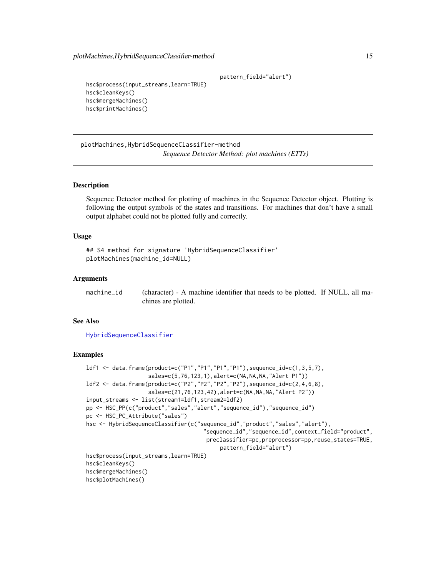```
pattern_field="alert")
```

```
hsc$process(input_streams,learn=TRUE)
hsc$cleanKeys()
hsc$mergeMachines()
hsc$printMachines()
```
plotMachines,HybridSequenceClassifier-method *Sequence Detector Method: plot machines (ETTs)*

#### Description

Sequence Detector method for plotting of machines in the Sequence Detector object. Plotting is following the output symbols of the states and transitions. For machines that don't have a small output alphabet could not be plotted fully and correctly.

#### Usage

```
## S4 method for signature 'HybridSequenceClassifier'
plotMachines(machine_id=NULL)
```
#### **Arguments**

machine\_id (character) - A machine identifier that needs to be plotted. If NULL, all machines are plotted.

#### See Also

[HybridSequenceClassifier](#page-10-1)

```
ldf1 <- data.frame(product=c("P1","P1","P1","P1"),sequence_id=c(1,3,5,7),
                   sales=c(5,76,123,1),alert=c(NA,NA,NA,"Alert P1"))
ldf2 <- data.frame(product=c("P2","P2","P2","P2"),sequence_id=c(2,4,6,8),
                   sales=c(21,76,123,42),alert=c(NA,NA,NA,"Alert P2"))
input_streams <- list(stream1=ldf1,stream2=ldf2)
pp <- HSC_PP(c("product","sales","alert","sequence_id"),"sequence_id")
pc <- HSC_PC_Attribute("sales")
hsc <- HybridSequenceClassifier(c("sequence_id","product","sales","alert"),
                                    "sequence_id","sequence_id",context_field="product",
                                     preclassifier=pc,preprocessor=pp,reuse_states=TRUE,
                                         pattern_field="alert")
hsc$process(input_streams,learn=TRUE)
hsc$cleanKeys()
hsc$mergeMachines()
hsc$plotMachines()
```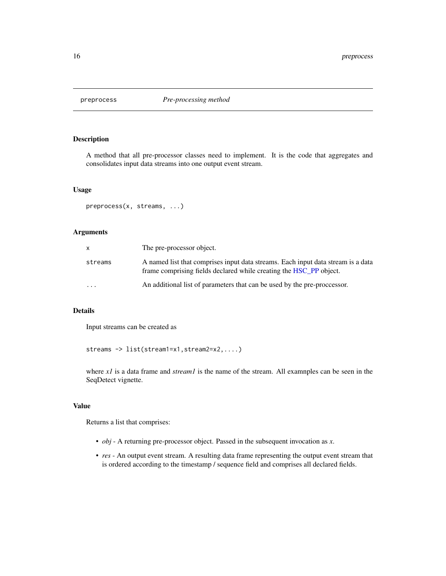<span id="page-15-0"></span>

# Description

A method that all pre-processor classes need to implement. It is the code that aggregates and consolidates input data streams into one output event stream.

#### Usage

preprocess(x, streams, ...)

# Arguments

|          | The pre-processor object.                                                                                                                              |
|----------|--------------------------------------------------------------------------------------------------------------------------------------------------------|
| streams  | A named list that comprises input data streams. Each input data stream is a data<br>frame comprising fields declared while creating the HSC PP object. |
| $\cdots$ | An additional list of parameters that can be used by the pre-processor.                                                                                |

#### Details

Input streams can be created as

streams -> list(stream1=x1,stream2=x2,....)

where *x1* is a data frame and *stream1* is the name of the stream. All examnples can be seen in the SeqDetect vignette.

#### Value

Returns a list that comprises:

- *obj* A returning pre-processor object. Passed in the subsequent invocation as *x*.
- *res* An output event stream. A resulting data frame representing the output event stream that is ordered according to the timestamp / sequence field and comprises all declared fields.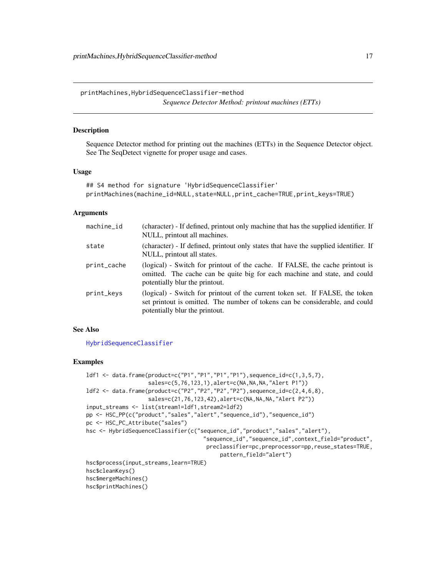<span id="page-16-0"></span>printMachines,HybridSequenceClassifier-method *Sequence Detector Method: printout machines (ETTs)*

#### Description

Sequence Detector method for printing out the machines (ETTs) in the Sequence Detector object. See The SeqDetect vignette for proper usage and cases.

#### Usage

```
## S4 method for signature 'HybridSequenceClassifier'
printMachines(machine_id=NULL,state=NULL,print_cache=TRUE,print_keys=TRUE)
```
#### Arguments

| $machine_id$ | (character) - If defined, printout only machine that has the supplied identifier. If<br>NULL, printout all machines.                                                                            |
|--------------|-------------------------------------------------------------------------------------------------------------------------------------------------------------------------------------------------|
| state        | (character) - If defined, printout only states that have the supplied identifier. If<br>NULL, printout all states.                                                                              |
| print_cache  | (logical) - Switch for printout of the cache. If FALSE, the cache printout is<br>omitted. The cache can be quite big for each machine and state, and could<br>potentially blur the printout.    |
| print_keys   | (logical) - Switch for printout of the current token set. If FALSE, the token<br>set printout is omitted. The number of tokens can be considerable, and could<br>potentially blur the printout. |

#### See Also

[HybridSequenceClassifier](#page-10-1)

```
ldf1 <- data.frame(product=c("P1","P1","P1","P1"),sequence_id=c(1,3,5,7),
                   sales=c(5,76,123,1),alert=c(NA,NA,NA,"Alert P1"))
ldf2 <- data.frame(product=c("P2","P2","P2","P2"),sequence_id=c(2,4,6,8),
                   sales=c(21,76,123,42),alert=c(NA,NA,NA,"Alert P2"))
input_streams <- list(stream1=ldf1,stream2=ldf2)
pp <- HSC_PP(c("product","sales","alert","sequence_id"),"sequence_id")
pc <- HSC_PC_Attribute("sales")
hsc <- HybridSequenceClassifier(c("sequence_id","product","sales","alert"),
                                    "sequence_id","sequence_id",context_field="product",
                                     preclassifier=pc,preprocessor=pp,reuse_states=TRUE,
                                         pattern_field="alert")
hsc$process(input_streams,learn=TRUE)
hsc$cleanKeys()
hsc$mergeMachines()
hsc$printMachines()
```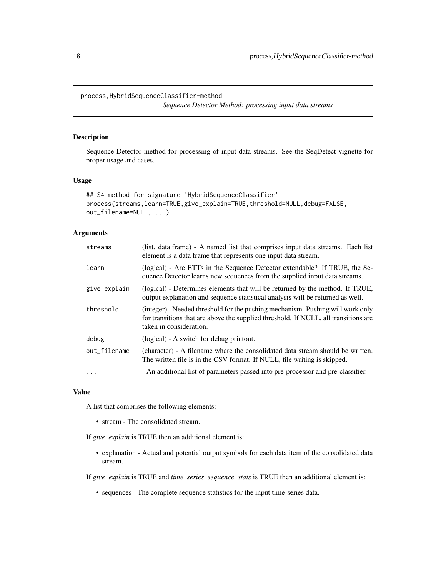<span id="page-17-0"></span>process,HybridSequenceClassifier-method

*Sequence Detector Method: processing input data streams*

#### Description

Sequence Detector method for processing of input data streams. See the SeqDetect vignette for proper usage and cases.

### Usage

```
## S4 method for signature 'HybridSequenceClassifier'
process(streams,learn=TRUE,give_explain=TRUE,threshold=NULL,debug=FALSE,
out_filename=NULL, ...)
```
# Arguments

| streams      | (list, data.frame) - A named list that comprises input data streams. Each list<br>element is a data frame that represents one input data stream.                                                 |
|--------------|--------------------------------------------------------------------------------------------------------------------------------------------------------------------------------------------------|
| learn        | (logical) - Are ETTs in the Sequence Detector extendable? If TRUE, the Se-<br>quence Detector learns new sequences from the supplied input data streams.                                         |
| give_explain | (logical) - Determines elements that will be returned by the method. If TRUE,<br>output explanation and sequence statistical analysis will be returned as well.                                  |
| threshold    | (integer) - Needed threshold for the pushing mechanism. Pushing will work only<br>for transitions that are above the supplied threshold. If NULL, all transitions are<br>taken in consideration. |
| debug        | (logical) - A switch for debug printout.                                                                                                                                                         |
| out_filename | (character) - A filename where the consolidated data stream should be written.<br>The written file is in the CSV format. If NULL, file writing is skipped.                                       |
| $\ddots$ .   | - An additional list of parameters passed into pre-processor and pre-classifier.                                                                                                                 |

#### Value

A list that comprises the following elements:

• stream - The consolidated stream.

If *give\_explain* is TRUE then an additional element is:

• explanation - Actual and potential output symbols for each data item of the consolidated data stream.

If *give\_explain* is TRUE and *time\_series\_sequence\_stats* is TRUE then an additional element is:

• sequences - The complete sequence statistics for the input time-series data.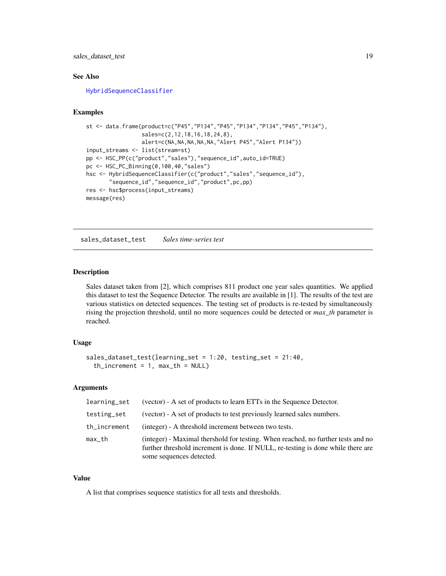<span id="page-18-0"></span>sales\_dataset\_test 19

#### See Also

[HybridSequenceClassifier](#page-10-1)

### Examples

```
st <- data.frame(product=c("P45","P134","P45","P134","P134","P45","P134"),
                 sales=c(2,12,18,16,18,24,8),
                 alert=c(NA,NA,NA,NA,NA,"Alert P45","Alert P134"))
input_streams <- list(stream=st)
pp <- HSC_PP(c("product","sales"),"sequence_id",auto_id=TRUE)
pc <- HSC_PC_Binning(0,100,40,"sales")
hsc <- HybridSequenceClassifier(c("product","sales","sequence_id"),
       "sequence_id","sequence_id","product",pc,pp)
res <- hsc$process(input_streams)
message(res)
```
sales\_dataset\_test *Sales time-series test*

#### Description

Sales dataset taken from [2], which comprises 811 product one year sales quantities. We applied this dataset to test the Sequence Detector. The results are available in [1]. The results of the test are various statistics on detected sequences. The testing set of products is re-tested by simultaneously rising the projection threshold, until no more sequences could be detected or *max\_th* parameter is reached.

#### Usage

```
sales_dataset_test(learning_set = 1:20, testing_set = 21:40,
  th\_increment = 1, max_th = NULL)
```
#### Arguments

| learning_set | (vector) - A set of products to learn ETTs in the Sequence Detector.                                                                                                                             |
|--------------|--------------------------------------------------------------------------------------------------------------------------------------------------------------------------------------------------|
| testing_set  | (vector) - A set of products to test previously learned sales numbers.                                                                                                                           |
| th_increment | (integer) - A threshold increment between two tests.                                                                                                                                             |
| $max_{h}$    | (integer) - Maximal thershold for testing. When reached, no further tests and no<br>further threshold increment is done. If NULL, re-testing is done while there are<br>some sequences detected. |

#### Value

A list that comprises sequence statistics for all tests and thresholds.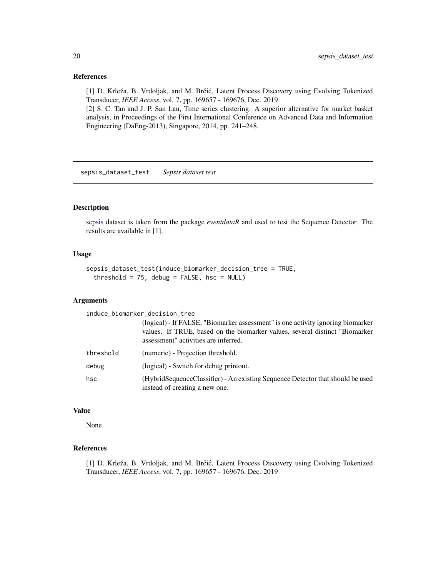#### References

[1] D. Krleža, B. Vrdoljak, and M. Brčić, Latent Process Discovery using Evolving Tokenized Transducer, *IEEE Access*, vol. 7, pp. 169657 - 169676, Dec. 2019

[2] S. C. Tan and J. P. San Lau, Time series clustering: A superior alternative for market basket analysis, in Proceedings of the First International Conference on Advanced Data and Information Engineering (DaEng-2013), Singapore, 2014, pp. 241–248.

sepsis\_dataset\_test *Sepsis dataset test*

#### Description

[sepsis](#page-0-0) dataset is taken from the package *eventdataR* and used to test the Sequence Detector. The results are available in [1].

#### Usage

```
sepsis_dataset_test(induce_biomarker_decision_tree = TRUE,
  threshold = 75, delay = FALSE, hsc = NULL)
```
#### Arguments

induce\_biomarker\_decision\_tree

(logical) - If FALSE, "Biomarker assessment" is one activity ignoring biomarker values. If TRUE, based on the biomarker values, several distinct "Biomarker assessment" activities are inferred.

| threshold | (numeric) - Projection threshold.                                                                                |
|-----------|------------------------------------------------------------------------------------------------------------------|
| debug     | (logical) - Switch for debug printout.                                                                           |
| hsc       | (HybridSequenceClassifier) - An existing Sequence Detector that should be used<br>instead of creating a new one. |

#### Value

None

# References

[1] D. Krleža, B. Vrdoljak, and M. Brčić, Latent Process Discovery using Evolving Tokenized Transducer, *IEEE Access*, vol. 7, pp. 169657 - 169676, Dec. 2019

<span id="page-19-0"></span>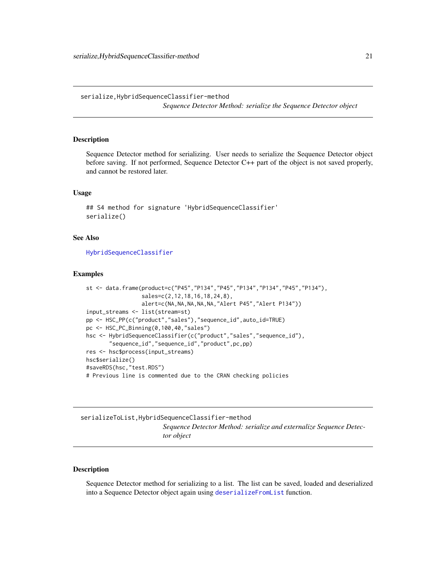<span id="page-20-0"></span>serialize,HybridSequenceClassifier-method *Sequence Detector Method: serialize the Sequence Detector object*

#### Description

Sequence Detector method for serializing. User needs to serialize the Sequence Detector object before saving. If not performed, Sequence Detector C++ part of the object is not saved properly, and cannot be restored later.

#### Usage

```
## S4 method for signature 'HybridSequenceClassifier'
serialize()
```
#### See Also

[HybridSequenceClassifier](#page-10-1)

#### Examples

```
st <- data.frame(product=c("P45","P134","P45","P134","P134","P45","P134"),
                 sales=c(2,12,18,16,18,24,8),
                 alert=c(NA,NA,NA,NA,NA,"Alert P45","Alert P134"))
input_streams <- list(stream=st)
pp <- HSC_PP(c("product","sales"),"sequence_id",auto_id=TRUE)
pc <- HSC_PC_Binning(0,100,40,"sales")
hsc <- HybridSequenceClassifier(c("product","sales","sequence_id"),
       "sequence_id","sequence_id","product",pc,pp)
res <- hsc$process(input_streams)
hsc$serialize()
#saveRDS(hsc,"test.RDS")
# Previous line is commented due to the CRAN checking policies
```

```
serializeToList,HybridSequenceClassifier-method
                         Sequence Detector Method: serialize and externalize Sequence Detec-
                         tor object
```
#### Description

Sequence Detector method for serializing to a list. The list can be saved, loaded and deserialized into a Sequence Detector object again using [deserializeFromList](#page-5-1) function.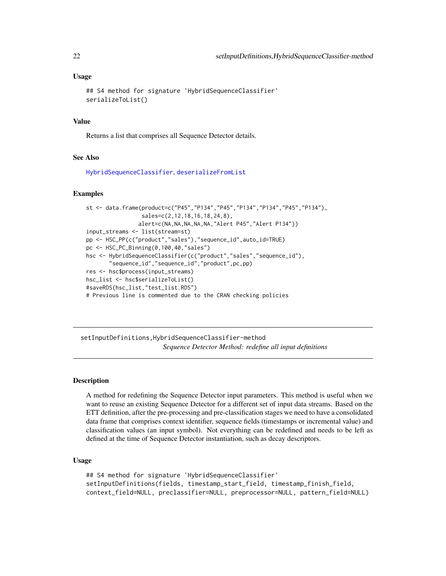#### Usage

```
## S4 method for signature 'HybridSequenceClassifier'
serializeToList()
```
#### Value

Returns a list that comprises all Sequence Detector details.

#### See Also

[HybridSequenceClassifier](#page-10-1), [deserializeFromList](#page-5-1)

#### Examples

```
st <- data.frame(product=c("P45","P134","P45","P134","P134","P45","P134"),
                 sales=c(2,12,18,16,18,24,8),
                alert=c(NA,NA,NA,NA,NA,"Alert P45","Alert P134"))
input_streams <- list(stream=st)
pp <- HSC_PP(c("product","sales"),"sequence_id",auto_id=TRUE)
pc <- HSC_PC_Binning(0,100,40,"sales")
hsc <- HybridSequenceClassifier(c("product","sales","sequence_id"),
       "sequence_id","sequence_id","product",pc,pp)
res <- hsc$process(input_streams)
hsc_list <- hsc$serializeToList()
#saveRDS(hsc_list,"test_list.RDS")
# Previous line is commented due to the CRAN checking policies
```
setInputDefinitions,HybridSequenceClassifier-method *Sequence Detector Method: redefine all input definitions*

#### Description

A method for redefining the Sequence Detector input parameters. This method is useful when we want to reuse an existing Sequence Detector for a different set of input data streams. Based on the ETT definition, after the pre-processing and pre-classification stages we need to have a consolidated data frame that comprises context identifier, sequence fields (timestamps or incremental value) and classification values (an input symbol). Not everything can be redefined and needs to be left as defined at the time of Sequence Detector instantiation, such as decay descriptors.

#### Usage

```
## S4 method for signature 'HybridSequenceClassifier'
setInputDefinitions(fields, timestamp_start_field, timestamp_finish_field,
context_field=NULL, preclassifier=NULL, preprocessor=NULL, pattern_field=NULL)
```
<span id="page-21-0"></span>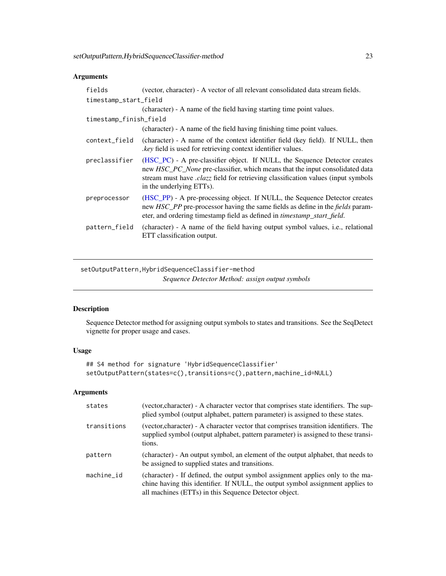# <span id="page-22-0"></span>Arguments

| fields                 | (vector, character) - A vector of all relevant consolidated data stream fields.                                                                                                                                                                                                   |  |  |
|------------------------|-----------------------------------------------------------------------------------------------------------------------------------------------------------------------------------------------------------------------------------------------------------------------------------|--|--|
| timestamp_start_field  |                                                                                                                                                                                                                                                                                   |  |  |
|                        | (character) - A name of the field having starting time point values.                                                                                                                                                                                                              |  |  |
| timestamp_finish_field |                                                                                                                                                                                                                                                                                   |  |  |
|                        | (character) - A name of the field having finishing time point values.                                                                                                                                                                                                             |  |  |
| context_field          | (character) - A name of the context identifier field (key field). If NULL, then<br><i>key</i> field is used for retrieving context identifier values.                                                                                                                             |  |  |
| preclassifier          | (HSC_PC) - A pre-classifier object. If NULL, the Sequence Detector creates<br>new HSC PC None pre-classifier, which means that the input consolidated data<br>stream must have <i>clazz</i> field for retrieving classification values (input symbols<br>in the underlying ETTs). |  |  |
| preprocessor           | (HSC_PP) - A pre-processing object. If NULL, the Sequence Detector creates<br>new HSC_PP pre-processor having the same fields as define in the fields param-<br>eter, and ordering timestamp field as defined in timestamp_start_field.                                           |  |  |
| pattern_field          | (character) - A name of the field having output symbol values, i.e., relational<br>ETT classification output.                                                                                                                                                                     |  |  |

setOutputPattern,HybridSequenceClassifier-method *Sequence Detector Method: assign output symbols*

# Description

Sequence Detector method for assigning output symbols to states and transitions. See the SeqDetect vignette for proper usage and cases.

# Usage

```
## S4 method for signature 'HybridSequenceClassifier'
setOutputPattern(states=c(),transitions=c(),pattern,machine_id=NULL)
```
# Arguments

| states       | (vector, character) - A character vector that comprises state identifiers. The sup-<br>plied symbol (output alphabet, pattern parameter) is assigned to these states.                                                     |
|--------------|---------------------------------------------------------------------------------------------------------------------------------------------------------------------------------------------------------------------------|
| transitions  | (vector, character) - A character vector that comprises transition identifiers. The<br>supplied symbol (output alphabet, pattern parameter) is assigned to these transi-<br>tions.                                        |
| pattern      | (character) - An output symbol, an element of the output alphabet, that needs to<br>be assigned to supplied states and transitions.                                                                                       |
| $machine_id$ | (character) - If defined, the output symbol assignment applies only to the ma-<br>chine having this identifier. If NULL, the output symbol assignment applies to<br>all machines (ETTs) in this Sequence Detector object. |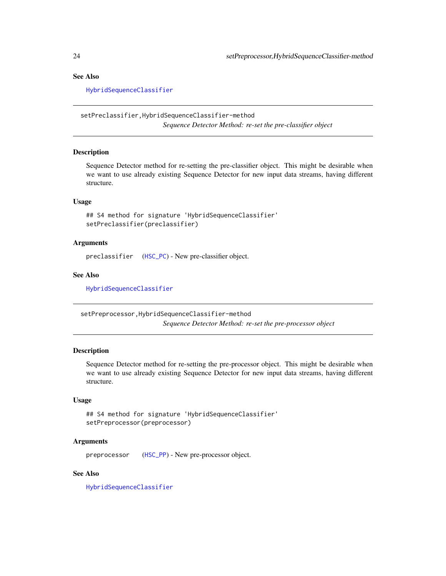# <span id="page-23-0"></span>See Also

[HybridSequenceClassifier](#page-10-1)

setPreclassifier,HybridSequenceClassifier-method *Sequence Detector Method: re-set the pre-classifier object*

### Description

Sequence Detector method for re-setting the pre-classifier object. This might be desirable when we want to use already existing Sequence Detector for new input data streams, having different structure.

#### Usage

## S4 method for signature 'HybridSequenceClassifier' setPreclassifier(preclassifier)

#### Arguments

preclassifier ([HSC\\_PC](#page-7-1)) - New pre-classifier object.

#### See Also

[HybridSequenceClassifier](#page-10-1)

setPreprocessor,HybridSequenceClassifier-method *Sequence Detector Method: re-set the pre-processor object*

#### Description

Sequence Detector method for re-setting the pre-processor object. This might be desirable when we want to use already existing Sequence Detector for new input data streams, having different structure.

#### Usage

```
## S4 method for signature 'HybridSequenceClassifier'
setPreprocessor(preprocessor)
```
#### **Arguments**

preprocessor ([HSC\\_PP](#page-9-1)) - New pre-processor object.

#### See Also

[HybridSequenceClassifier](#page-10-1)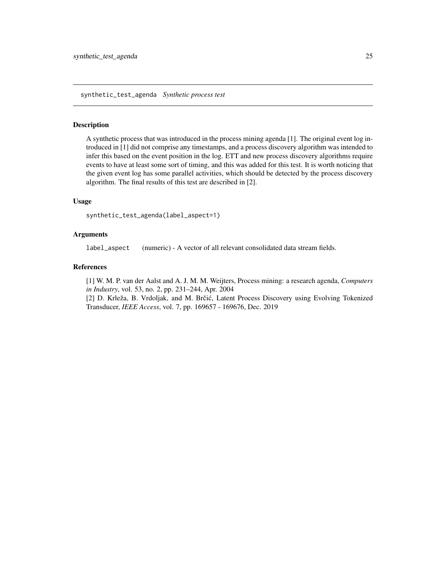#### <span id="page-24-0"></span>Description

A synthetic process that was introduced in the process mining agenda [1]. The original event log introduced in [1] did not comprise any timestamps, and a process discovery algorithm was intended to infer this based on the event position in the log. ETT and new process discovery algorithms require events to have at least some sort of timing, and this was added for this test. It is worth noticing that the given event log has some parallel activities, which should be detected by the process discovery algorithm. The final results of this test are described in [2].

#### Usage

synthetic\_test\_agenda(label\_aspect=1)

#### Arguments

label\_aspect (numeric) - A vector of all relevant consolidated data stream fields.

#### References

[1] W. M. P. van der Aalst and A. J. M. M. Weijters, Process mining: a research agenda, *Computers in Industry*, vol. 53, no. 2, pp. 231–244, Apr. 2004 [2] D. Krleža, B. Vrdoljak, and M. Brčić, Latent Process Discovery using Evolving Tokenized

Transducer, *IEEE Access*, vol. 7, pp. 169657 - 169676, Dec. 2019